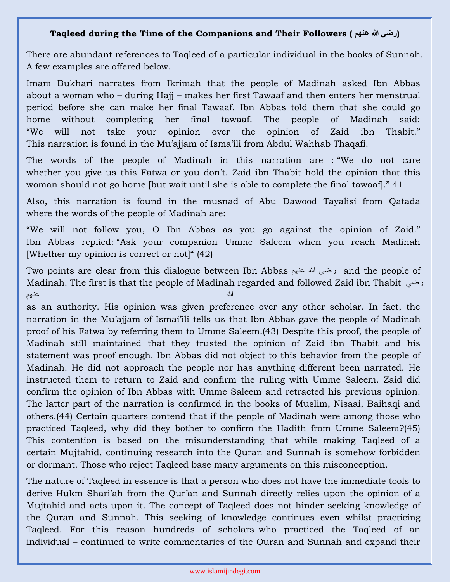## **Taqleed during the Time of the Companions and Their Followers ( عنهم هللا رضي(**

There are abundant references to Taqleed of a particular individual in the books of Sunnah. A few examples are offered below.

Imam Bukhari narrates from Ikrimah that the people of Madinah asked Ibn Abbas about a woman who – during Hajj – makes her first Tawaaf and then enters her menstrual period before she can make her final Tawaaf. Ibn Abbas told them that she could go home without completing her final tawaaf. The people of Madinah said: "We will not take your opinion over the opinion of Zaid ibn Thabit." This narration is found in the Mu'ajjam of Isma'ili from Abdul Wahhab Thaqafi.

The words of the people of Madinah in this narration are : "We do not care whether you give us this Fatwa or you don't. Zaid ibn Thabit hold the opinion that this woman should not go home [but wait until she is able to complete the final tawaaf]." 41

Also, this narration is found in the musnad of Abu Dawood Tayalisi from Qatada where the words of the people of Madinah are:

"We will not follow you, O Ibn Abbas as you go against the opinion of Zaid." Ibn Abbas replied: "Ask your companion Umme Saleem when you reach Madinah [Whether my opinion is correct or not]" (42)

Two points are clear from this dialogue between Ibn Abbas عنهم هللا رضي and the people of Madinah. The first is that the people of Madinah regarded and followed Zaid ibn Thabit رضي الله عنهم المساوي المساوي المساوي المساوي المساوي المساوي المساوي المساوي المساوي المساوي المساوي المساوي المس

as an authority. His opinion was given preference over any other scholar. In fact, the narration in the Mu'ajjam of Ismai'ili tells us that Ibn Abbas gave the people of Madinah proof of his Fatwa by referring them to Umme Saleem.(43) Despite this proof, the people of Madinah still maintained that they trusted the opinion of Zaid ibn Thabit and his statement was proof enough. Ibn Abbas did not object to this behavior from the people of Madinah. He did not approach the people nor has anything different been narrated. He instructed them to return to Zaid and confirm the ruling with Umme Saleem. Zaid did confirm the opinion of Ibn Abbas with Umme Saleem and retracted his previous opinion. The latter part of the narration is confirmed in the books of Muslim, Nisaai, Baihaqi and others.(44) Certain quarters contend that if the people of Madinah were among those who practiced Taqleed, why did they bother to confirm the Hadith from Umme Saleem?(45) This contention is based on the misunderstanding that while making Taqleed of a certain Mujtahid, continuing research into the Quran and Sunnah is somehow forbidden or dormant. Those who reject Taqleed base many arguments on this misconception.

The nature of Taqleed in essence is that a person who does not have the immediate tools to derive Hukm Shari'ah from the Qur'an and Sunnah directly relies upon the opinion of a Mujtahid and acts upon it. The concept of Taqleed does not hinder seeking knowledge of the Quran and Sunnah. This seeking of knowledge continues even whilst practicing Taqleed. For this reason hundreds of scholars–who practiced the Taqleed of an individual – continued to write commentaries of the Quran and Sunnah and expand their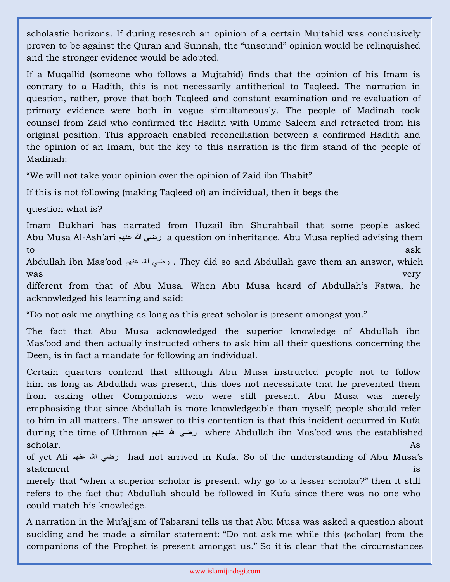scholastic horizons. If during research an opinion of a certain Mujtahid was conclusively proven to be against the Quran and Sunnah, the "unsound" opinion would be relinquished and the stronger evidence would be adopted.

If a Muqallid (someone who follows a Mujtahid) finds that the opinion of his Imam is contrary to a Hadith, this is not necessarily antithetical to Taqleed. The narration in question, rather, prove that both Taqleed and constant examination and re-evaluation of primary evidence were both in vogue simultaneously. The people of Madinah took counsel from Zaid who confirmed the Hadith with Umme Saleem and retracted from his original position. This approach enabled reconciliation between a confirmed Hadith and the opinion of an Imam, but the key to this narration is the firm stand of the people of Madinah:

"We will not take your opinion over the opinion of Zaid ibn Thabit"

If this is not following (making Taqleed of) an individual, then it begs the

question what is?

Imam Bukhari has narrated from Huzail ibn Shurahbail that some people asked Abu Musa Al-Ash'ari عنهم هللا رضي a question on inheritance. Abu Musa replied advising them  $\log n$  to a set  $\log n$  as the set of  $\log n$  as the set of  $\log n$ 

Abdullah ibn Mas'ood عنهم هللا رضي . They did so and Abdullah gave them an answer, which was very settled that the contract of the contract of the contract of the contract of the contract of the contract of the contract of the contract of the contract of the contract of the contract of the contract of the cont

different from that of Abu Musa. When Abu Musa heard of Abdullah's Fatwa, he acknowledged his learning and said:

"Do not ask me anything as long as this great scholar is present amongst you."

The fact that Abu Musa acknowledged the superior knowledge of Abdullah ibn Mas'ood and then actually instructed others to ask him all their questions concerning the Deen, is in fact a mandate for following an individual.

Certain quarters contend that although Abu Musa instructed people not to follow him as long as Abdullah was present, this does not necessitate that he prevented them from asking other Companions who were still present. Abu Musa was merely emphasizing that since Abdullah is more knowledgeable than myself; people should refer to him in all matters. The answer to this contention is that this incident occurred in Kufa during the time of Uthman عنهم هللا رضي where Abdullah ibn Mas'ood was the established scholar. As a strong state of the strong state of the strong state  $\Lambda$ s and the strong state of the strong state of the strong state of the strong state of the strong state of the strong strong strong strong strong strong

of yet Ali عنهم هللا رضي had not arrived in Kufa. So of the understanding of Abu Musa's statement is a statement of the statement of the statement of the statement of the statement  $\mathbf{a}$ 

merely that "when a superior scholar is present, why go to a lesser scholar?" then it still refers to the fact that Abdullah should be followed in Kufa since there was no one who could match his knowledge.

A narration in the Mu'ajjam of Tabarani tells us that Abu Musa was asked a question about suckling and he made a similar statement: "Do not ask me while this (scholar) from the companions of the Prophet is present amongst us." So it is clear that the circumstances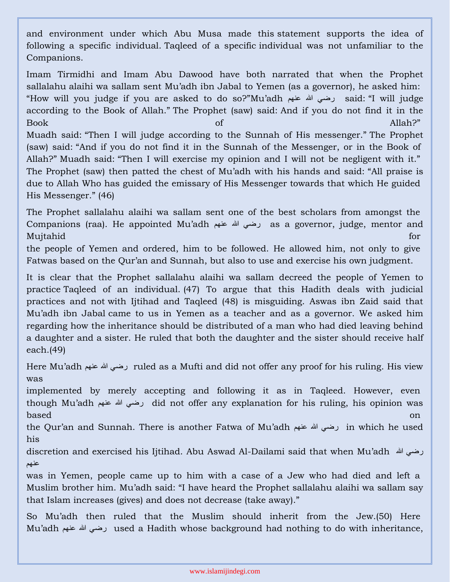and environment under which Abu Musa made this statement supports the idea of following a specific individual. Taqleed of a specific individual was not unfamiliar to the Companions.

Imam Tirmidhi and Imam Abu Dawood have both narrated that when the Prophet sallalahu alaihi wa sallam sent Mu'adh ibn Jabal to Yemen (as a governor), he asked him: "How will you judge if you are asked to do so?"Mu'adh عنهم هللا رضي said: "I will judge according to the Book of Allah." The Prophet (saw) said: And if you do not find it in the Book of Allah?" Muadh said: "Then I will judge according to the Sunnah of His messenger." The Prophet (saw) said: "And if you do not find it in the Sunnah of the Messenger, or in the Book of Allah?" Muadh said: "Then I will exercise my opinion and I will not be negligent with it." The Prophet (saw) then patted the chest of Mu'adh with his hands and said: "All praise is due to Allah Who has guided the emissary of His Messenger towards that which He guided His Messenger." (46)

The Prophet sallalahu alaihi wa sallam sent one of the best scholars from amongst the Companions (raa). He appointed Mu'adh عنهم هللا رضي as a governor, judge, mentor and Mujtahid for

the people of Yemen and ordered, him to be followed. He allowed him, not only to give Fatwas based on the Qur'an and Sunnah, but also to use and exercise his own judgment.

It is clear that the Prophet sallalahu alaihi wa sallam decreed the people of Yemen to practice Taqleed of an individual. (47) To argue that this Hadith deals with judicial practices and not with Ijtihad and Taqleed (48) is misguiding. Aswas ibn Zaid said that Mu'adh ibn Jabal came to us in Yemen as a teacher and as a governor. We asked him regarding how the inheritance should be distributed of a man who had died leaving behind a daughter and a sister. He ruled that both the daughter and the sister should receive half each.(49)

Here Mu'adh عنهم هللا رضي ruled as a Mufti and did not offer any proof for his ruling. His view was

implemented by merely accepting and following it as in Taqleed. However, even though Mu'adh عنهم هللا رضي did not offer any explanation for his ruling, his opinion was based on

the Qur'an and Sunnah. There is another Fatwa of Mu'adh عنهم هللا رضي in which he used his

discretion and exercised his Ijtihad. Abu Aswad Al-Dailami said that when Mu'adh هللا رضي عنهم

was in Yemen, people came up to him with a case of a Jew who had died and left a Muslim brother him. Mu'adh said: "I have heard the Prophet sallalahu alaihi wa sallam say that Islam increases (gives) and does not decrease (take away)."

So Mu'adh then ruled that the Muslim should inherit from the Jew.(50) Here Mu'adh رضى الله عنهم used a Hadith whose background had nothing to do with inheritance,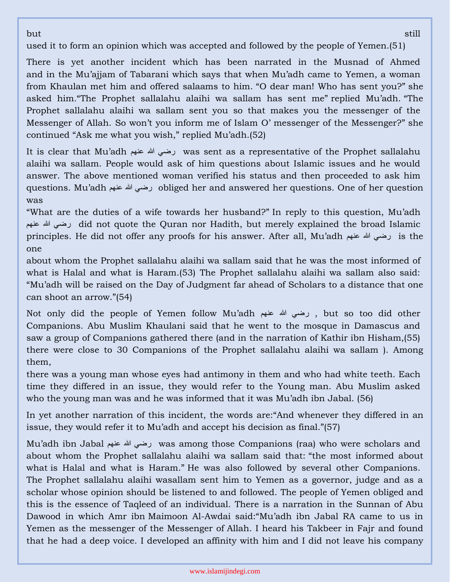but still and the state of the state of the state of the state of the state of the still still

used it to form an opinion which was accepted and followed by the people of Yemen.(51)

There is yet another incident which has been narrated in the Musnad of Ahmed and in the Mu'ajjam of Tabarani which says that when Mu'adh came to Yemen, a woman from Khaulan met him and offered salaams to him. "O dear man! Who has sent you?" she asked him."The Prophet sallalahu alaihi wa sallam has sent me" replied Mu'adh. "The Prophet sallalahu alaihi wa sallam sent you so that makes you the messenger of the Messenger of Allah. So won't you inform me of Islam O' messenger of the Messenger?" she continued "Ask me what you wish," replied Mu'adh.(52)

It is clear that Mu'adh عنهم هللا رضي was sent as a representative of the Prophet sallalahu alaihi wa sallam. People would ask of him questions about Islamic issues and he would answer. The above mentioned woman verified his status and then proceeded to ask him questions. Mu'adh عنهم هللا رضي obliged her and answered her questions. One of her question was

"What are the duties of a wife towards her husband?" In reply to this question, Mu'adh عنهم هللا رضي did not quote the Quran nor Hadith, but merely explained the broad Islamic principles. He did not offer any proofs for his answer. After all, Mu'adh عنهم هللا رضي is the one

about whom the Prophet sallalahu alaihi wa sallam said that he was the most informed of what is Halal and what is Haram.(53) The Prophet sallalahu alaihi wa sallam also said: "Mu'adh will be raised on the Day of Judgment far ahead of Scholars to a distance that one can shoot an arrow."(54)

Not only did the people of Yemen follow Mu'adh عنهم هللا رضي , but so too did other Companions. Abu Muslim Khaulani said that he went to the mosque in Damascus and saw a group of Companions gathered there (and in the narration of Kathir ibn Hisham,(55) there were close to 30 Companions of the Prophet sallalahu alaihi wa sallam ). Among them,

there was a young man whose eyes had antimony in them and who had white teeth. Each time they differed in an issue, they would refer to the Young man. Abu Muslim asked who the young man was and he was informed that it was Mu'adh ibn Jabal. (56)

In yet another narration of this incident, the words are:"And whenever they differed in an issue, they would refer it to Mu'adh and accept his decision as final."(57)

Mu'adh ibn Jabal عنهم هللا رضي was among those Companions (raa) who were scholars and about whom the Prophet sallalahu alaihi wa sallam said that: "the most informed about what is Halal and what is Haram." He was also followed by several other Companions. The Prophet sallalahu alaihi wasallam sent him to Yemen as a governor, judge and as a scholar whose opinion should be listened to and followed. The people of Yemen obliged and this is the essence of Taqleed of an individual. There is a narration in the Sunnan of Abu Dawood in which Amr ibn Maimoon Al-Awdai said:"Mu'adh ibn Jabal RA came to us in Yemen as the messenger of the Messenger of Allah. I heard his Takbeer in Fajr and found that he had a deep voice. I developed an affinity with him and I did not leave his company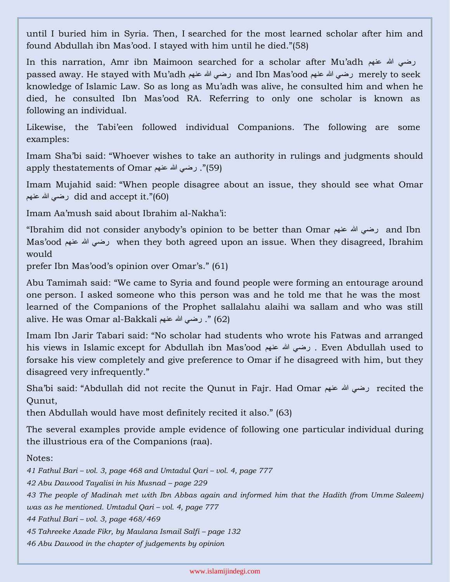until I buried him in Syria. Then, I searched for the most learned scholar after him and found Abdullah ibn Mas'ood. I stayed with him until he died."(58)

In this narration, Amr ibn Maimoon searched for a scholar after Mu'adh عنهم هللا رضي passed away. He stayed with Mu'adh عنهم هللا رضي and Ibn Mas'ood عنهم هللا رضي merely to seek knowledge of Islamic Law. So as long as Mu'adh was alive, he consulted him and when he died, he consulted Ibn Mas'ood RA. Referring to only one scholar is known as following an individual.

Likewise, the Tabi'een followed individual Companions. The following are some examples:

Imam Sha'bi said: "Whoever wishes to take an authority in rulings and judgments should apply thestatements of Omar عنهم هللا رضي .)"59(

Imam Mujahid said: "When people disagree about an issue, they should see what Omar عنهم هللا رضي did and accept it."(60)

Imam Aa'mush said about Ibrahim al-Nakha'i:

"Ibrahim did not consider anybody's opinion to be better than Omar عنهم هللا رضي and Ibn Mas'ood رضي الله عنهم when they both agreed upon an issue. When they disagreed, Ibrahim would

prefer Ibn Mas'ood's opinion over Omar's." (61)

Abu Tamimah said: "We came to Syria and found people were forming an entourage around one person. I asked someone who this person was and he told me that he was the most learned of the Companions of the Prophet sallalahu alaihi wa sallam and who was still alive. He was Omar al-Bakkali عنهم الله عنهم .) "(62)

Imam Ibn Jarir Tabari said: "No scholar had students who wrote his Fatwas and arranged his views in Islamic except for Abdullah ibn Mas'ood عنهم هللا رضي . Even Abdullah used to forsake his view completely and give preference to Omar if he disagreed with him, but they disagreed very infrequently."

Sha'bi said: "Abdullah did not recite the Qunut in Fajr. Had Omar عنهم هللا رضي recited the Qunut,

then Abdullah would have most definitely recited it also." (63)

The several examples provide ample evidence of following one particular individual during the illustrious era of the Companions (raa).

Notes:

*41 Fathul Bari – vol. 3, page 468 and Umtadul Qari – vol. 4, page 777*

*42 Abu Dawood Tayalisi in his Musnad – page 229*

*43 The people of Madinah met with Ibn Abbas again and informed him that the Hadith (from Umme Saleem)* 

*was as he mentioned. Umtadul Qari – vol. 4, page 777*

*44 Fathul Bari – vol. 3, page 468/469*

*45 Tahreeke Azade Fikr, by Maulana Ismail Salfi – page 132*

*46 Abu Dawood in the chapter of judgements by opinion*